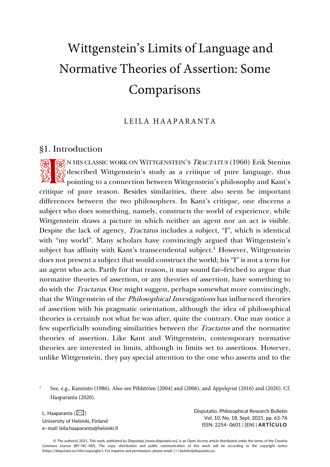# Wittgenstein's Limits of Language and Normative Theories of Assertion: Some Comparisons

LEILA HAAPARANTA

## §1. Introduction

**RES** N HIS CLASSIC WORK ON WITTGENSTEIN'S TRACTATUS (1960) Erik Stenius  $\mathcal{L}_{\mathcal{S}}$  described Wittgenstein's study as a critique of pure language, thus **po** N HIS CLASSIC WORK ON WITTGENSTEIN'S *TRACTATUS* (1960) Erik Stenius<br>  $\chi^2$  described Wittgenstein's study as a critique of pure language, thus<br>  $\chi^2$  pointing to a connection between Wittgenstein's philosophy and K critique of pure reason. Besides similarities, there also seem be important differences between the two philosophers. In Kant's critique, one discerns a subject who does something, namely, constructs the world of experience, while Wittgenstein draws a picture in which neither an agent nor an act is visible. Despite the lack of agency, Tractatus includes a subject, "I", which is identical with "my world". Many scholars have convincingly argued that Wittgenstein's subject has affinity with Kant's transcendental subject.<sup>[1](#page-0-0)</sup> However, Wittgenstein does not present a subject that would construct the world; his "I" is not a term for an agent who acts. Partly for that reason, it may sound far–fetched to argue that normative theories of assertion, or any theories of assertion, have something to do with the Tractatus. One might suggest, perhaps somewhat more convincingly, that the Wittgenstein of the Philosophical Investigations has influenced theories of assertion with his pragmatic orientation, although the idea of philosophical theories is certainly not what he was after, quite the contrary. One may notice a few superficially sounding similarities between the Tractatus and the normative theories of assertion. Like Kant and Wittgenstein, contemporary normative theories are interested in limits, although in limits set to assertions. However, unlike Wittgenstein, they pay special attention to the one who asserts and to the

L. Haaparanta  $(\boxtimes)$ University of Helsinki, Finland e–mail: leila.haaparanta@helsinki.fi Disputatio. Philosophical Research Bulletin Vol. 10, No. 18, Sept. 2021, pp. 63-76 ISSN: 2254–0601 | [EN] | **ARTÍCULO**

<span id="page-0-0"></span><sup>1</sup> See, e.g., Kannisto (1986). Also see Pihlström (2004) and (2006), and Appelqvist (2016) and (2020). Cf. Haaparanta (2020).

<sup>©</sup> The author(s) 2021. This work, published by Disputatio [www.disputatio.eu], is an Open Access article distributed under the terms of the *Creative Commons License* [BY–NC–ND]. The copy, distribution and public communication of this work will be according to the copyright notice (https://disputatio.eu/info/copyright/). For inquiries and permissions, please email: (✉) boletin@disputatio.eu.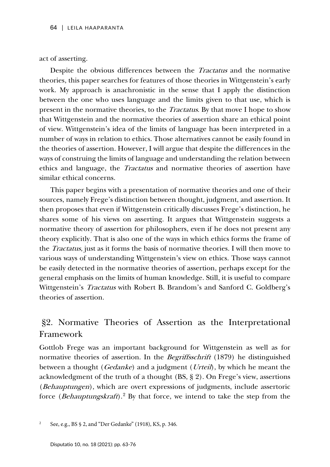act of asserting.

Despite the obvious differences between the Tractatus and the normative theories, this paper searches for features of those theories in Wittgenstein's early work. My approach is anachronistic in the sense that I apply the distinction between the one who uses language and the limits given to that use, which is present in the normative theories, to the Tractatus. By that move I hope to show that Wittgenstein and the normative theories of assertion share an ethical point of view. Wittgenstein's idea of the limits of language has been interpreted in a number of ways in relation to ethics. Those alternatives cannot be easily found in the theories of assertion. However, I will argue that despite the differences in the ways of construing the limits of language and understanding the relation between ethics and language, the Tractatus and normative theories of assertion have similar ethical concerns.

This paper begins with a presentation of normative theories and one of their sources, namely Frege's distinction between thought, judgment, and assertion. It then proposes that even if Wittgenstein critically discusses Frege's distinction, he shares some of his views on asserting. It argues that Wittgenstein suggests a normative theory of assertion for philosophers, even if he does not present any theory explicitly. That is also one of the ways in which ethics forms the frame of the Tractatus, just as it forms the basis of normative theories. I will then move to various ways of understanding Wittgenstein's view on ethics. Those ways cannot be easily detected in the normative theories of assertion, perhaps except for the general emphasis on the limits of human knowledge. Still, it is useful to compare Wittgenstein's *Tractatus* with Robert B. Brandom's and Sanford C. Goldberg's theories of assertion.

# §2. Normative Theories of Assertion as the Interpretational Framework

Gottlob Frege was an important background for Wittgenstein as well as for normative theories of assertion. In the *Begriffsschrift* (1879) he distinguished between a thought (*Gedanke*) and a judgment (*Urteil*), by which he meant the acknowledgment of the truth of a thought (BS, § 2). On Frege's view, assertions (Behauptungen), which are overt expressions of judgments, include assertoric force (*Behauptungskraft*).<sup>[2](#page-1-0)</sup> By that force, we intend to take the step from the

<span id="page-1-0"></span><sup>2</sup> See, e.g., BS § 2, and "Der Gedanke" (1918), KS, p. 346.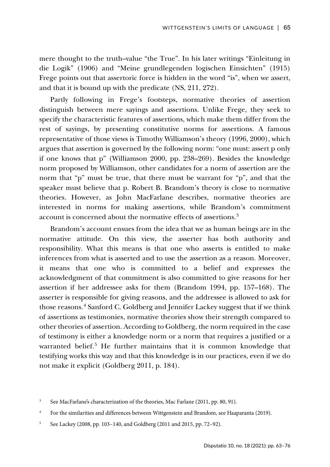mere thought to the truth–value "the True". In his later writings "Einleitung in die Logik" (1906) and "Meine grundlegenden logischen Einsichten" (1915) Frege points out that assertoric force is hidden in the word "is", when we assert, and that it is bound up with the predicate (NS, 211, 272).

Partly following in Frege's footsteps, normative theories of assertion distinguish between mere sayings and assertions. Unlike Frege, they seek to specify the characteristic features of assertions, which make them differ from the rest of sayings, by presenting constitutive norms for assertions. A famous representative of those views is Timothy Williamson's theory (1996, 2000), which argues that assertion is governed by the following norm: "one must: assert p only if one knows that p" (Williamson 2000, pp. 238–269). Besides the knowledge norm proposed by Williamson, other candidates for a norm of assertion are the norm that "p" must be true, that there must be warrant for "p", and that the speaker must believe that p. Robert B. Brandom's theory is close to normative theories. However, as John MacFarlane describes, normative theories are interested in norms for making assertions, while Brandom's commitment account is concerned about the normative effects of assertions.[3](#page-2-0)

Brandom's account ensues from the idea that we as human beings are in the normative attitude. On this view, the asserter has both authority and responsibility. What this means is that one who asserts is entitled to make inferences from what is asserted and to use the assertion as a reason. Moreover, it means that one who is committed to a belief and expresses the acknowledgment of that commitment is also committed to give reasons for her assertion if her addressee asks for them (Brandom 1994, pp. 157–168). The asserter is responsible for giving reasons, and the addressee is allowed to ask for those reasons.<sup>[4](#page-2-1)</sup> Sanford C. Goldberg and Jennifer Lackey suggest that if we think of assertions as testimonies, normative theories show their strength compared to other theories of assertion. According to Goldberg, the norm required in the case of testimony is either a knowledge norm or a norm that requires a justified or a warranted belief.<sup>[5](#page-2-2)</sup> He further maintains that it is common knowledge that testifying works this way and that this knowledge is in our practices, even if we do not make it explicit (Goldberg 2011, p. 184).

<span id="page-2-0"></span><sup>&</sup>lt;sup>3</sup> See MacFarlane's characterization of the theories, Mac Farlane (2011, pp. 80, 91).

<span id="page-2-1"></span><sup>&</sup>lt;sup>4</sup> For the similarities and differences between Wittgenstein and Brandom, see Haaparanta (2019).

<span id="page-2-2"></span><sup>5</sup> See Lackey (2008, pp. 103–140, and Goldberg (2011 and 2015, pp. 72–92).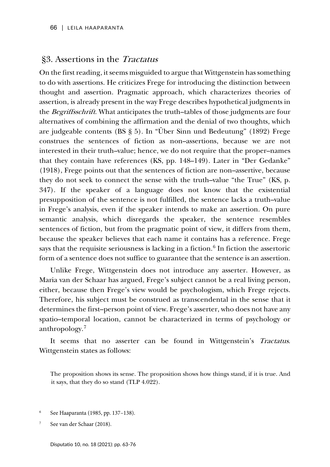## §3. Assertions in the Tractatus

On the first reading, it seems misguided to argue that Wittgenstein has something to do with assertions. He criticizes Frege for introducing the distinction between thought and assertion. Pragmatic approach, which characterizes theories of assertion, is already present in the way Frege describes hypothetical judgments in the Begriffsschrift. What anticipates the truth–tables of those judgments are four alternatives of combining the affirmation and the denial of two thoughts, which are judgeable contents (BS § 5). In "Über Sinn und Bedeutung" (1892) Frege construes the sentences of fiction as non–assertions, because we are not interested in their truth–value; hence, we do not require that the proper–names that they contain have references (KS, pp. 148–149). Later in "Der Gedanke" (1918), Frege points out that the sentences of fiction are non–assertive, because they do not seek to connect the sense with the truth–value "the True" (KS, p. 347). If the speaker of a language does not know that the existential presupposition of the sentence is not fulfilled, the sentence lacks a truth–value in Frege's analysis, even if the speaker intends to make an assertion. On pure semantic analysis, which disregards the speaker, the sentence resembles sentences of fiction, but from the pragmatic point of view, it differs from them, because the speaker believes that each name it contains has a reference. Frege says that the requisite seriousness is lacking in a fiction.<sup>[6](#page-3-0)</sup> In fiction the assertoric form of a sentence does not suffice to guarantee that the sentence is an assertion.

Unlike Frege, Wittgenstein does not introduce any asserter. However, as Maria van der Schaar has argued, Frege's subject cannot be a real living person, either, because then Frege's view would be psychologism, which Frege rejects. Therefore, his subject must be construed as transcendental in the sense that it determines the first–person point of view. Frege's asserter, who does not have any spatio–temporal location, cannot be characterized in terms of psychology or anthropology.[7](#page-3-1)

It seems that no asserter can be found in Wittgenstein's Tractatus. Wittgenstein states as follows:

The proposition shows its sense. The proposition shows how things stand, if it is true. And it says, that they do so stand (TLP 4.022).

- <span id="page-3-0"></span><sup>6</sup> See Haaparanta (1985, pp. 137–138).
- <span id="page-3-1"></span>See van der Schaar (2018).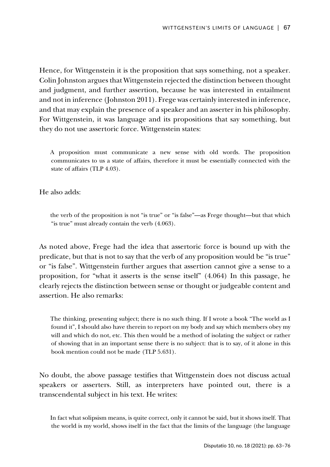Hence, for Wittgenstein it is the proposition that says something, not a speaker. Colin Johnston argues that Wittgenstein rejected the distinction between thought and judgment, and further assertion, because he was interested in entailment and not in inference (Johnston 2011). Frege was certainly interested in inference, and that may explain the presence of a speaker and an asserter in his philosophy. For Wittgenstein, it was language and its propositions that say something, but they do not use assertoric force. Wittgenstein states:

A proposition must communicate a new sense with old words. The proposition communicates to us a state of affairs, therefore it must be essentially connected with the state of affairs (TLP 4.03).

He also adds:

the verb of the proposition is not "is true" or "is false"—as Frege thought—but that which "is true" must already contain the verb (4.063).

As noted above, Frege had the idea that assertoric force is bound up with the predicate, but that is not to say that the verb of any proposition would be "is true" or "is false". Wittgenstein further argues that assertion cannot give a sense to a proposition, for "what it asserts is the sense itself" (4.064) In this passage, he clearly rejects the distinction between sense or thought or judgeable content and assertion. He also remarks:

The thinking, presenting subject; there is no such thing. If I wrote a book "The world as I found it", I should also have therein to report on my body and say which members obey my will and which do not, etc. This then would be a method of isolating the subject or rather of showing that in an important sense there is no subject: that is to say, of it alone in this book mention could not be made (TLP 5.631).

No doubt, the above passage testifies that Wittgenstein does not discuss actual speakers or asserters. Still, as interpreters have pointed out, there is a transcendental subject in his text. He writes:

In fact what solipsism means, is quite correct, only it cannot be said, but it shows itself. That the world is my world, shows itself in the fact that the limits of the language (the language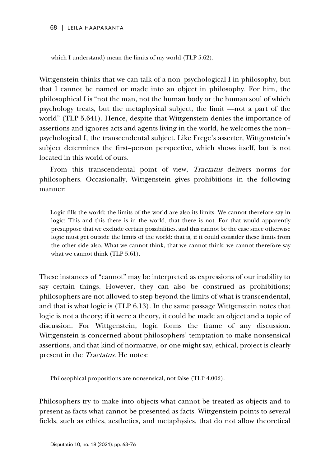which I understand) mean the limits of my world (TLP 5.62).

Wittgenstein thinks that we can talk of a non–psychological I in philosophy, but that I cannot be named or made into an object in philosophy. For him, the philosophical I is "not the man, not the human body or the human soul of which psychology treats, but the metaphysical subject, the limit —not a part of the world" (TLP 5.641). Hence, despite that Wittgenstein denies the importance of assertions and ignores acts and agents living in the world, he welcomes the non– psychological I, the transcendental subject. Like Frege's asserter, Wittgenstein's subject determines the first–person perspective, which shows itself, but is not located in this world of ours.

From this transcendental point of view, Tractatus delivers norms for philosophers. Occasionally, Wittgenstein gives prohibitions in the following manner:

Logic fills the world: the limits of the world are also its limits. We cannot therefore say in logic: This and this there is in the world, that there is not. For that would apparently presuppose that we exclude certain possibilities, and this cannot be the case since otherwise logic must get outside the limits of the world: that is, if it could consider these limits from the other side also. What we cannot think, that we cannot think: we cannot therefore say what we cannot think (TLP 5.61).

These instances of "cannot" may be interpreted as expressions of our inability to say certain things. However, they can also be construed as prohibitions; philosophers are not allowed to step beyond the limits of what is transcendental, and that is what logic is (TLP 6.13). In the same passage Wittgenstein notes that logic is not a theory; if it were a theory, it could be made an object and a topic of discussion. For Wittgenstein, logic forms the frame of any discussion. Wittgenstein is concerned about philosophers' temptation to make nonsensical assertions, and that kind of normative, or one might say, ethical, project is clearly present in the *Tractatus*. He notes:

Philosophical propositions are nonsensical, not false (TLP 4.002).

Philosophers try to make into objects what cannot be treated as objects and to present as facts what cannot be presented as facts. Wittgenstein points to several fields, such as ethics, aesthetics, and metaphysics, that do not allow theoretical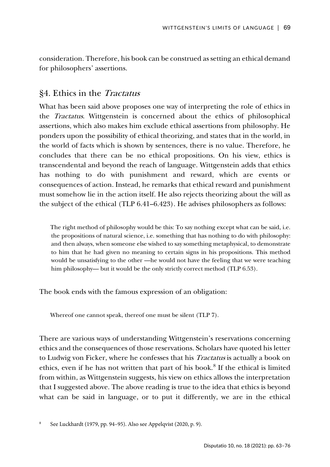consideration. Therefore, his book can be construed as setting an ethical demand for philosophers' assertions.

# §4. Ethics in the Tractatus

What has been said above proposes one way of interpreting the role of ethics in the Tractatus. Wittgenstein is concerned about the ethics of philosophical assertions, which also makes him exclude ethical assertions from philosophy. He ponders upon the possibility of ethical theorizing, and states that in the world, in the world of facts which is shown by sentences, there is no value. Therefore, he concludes that there can be no ethical propositions. On his view, ethics is transcendental and beyond the reach of language. Wittgenstein adds that ethics has nothing to do with punishment and reward, which are events or consequences of action. Instead, he remarks that ethical reward and punishment must somehow lie in the action itself. He also rejects theorizing about the will as the subject of the ethical (TLP 6.41–6.423). He advises philosophers as follows:

The right method of philosophy would be this: To say nothing except what can be said, i.e. the propositions of natural science, i.e. something that has nothing to do with philosophy: and then always, when someone else wished to say something metaphysical, to demonstrate to him that he had given no meaning to certain signs in his propositions. This method would be unsatisfying to the other —he would not have the feeling that we were teaching him philosophy— but it would be the only strictly correct method (TLP 6.53).

The book ends with the famous expression of an obligation:

Whereof one cannot speak, thereof one must be silent (TLP 7).

There are various ways of understanding Wittgenstein's reservations concerning ethics and the consequences of those reservations. Scholars have quoted his letter to Ludwig von Ficker, where he confesses that his Tractatus is actually a book on ethics, even if he has not written that part of his book.[8](#page-6-0) If the ethical is limited from within, as Wittgenstein suggests, his view on ethics allows the interpretation that I suggested above. The above reading is true to the idea that ethics is beyond what can be said in language, or to put it differently, we are in the ethical

<span id="page-6-0"></span><sup>8</sup> See Luckhardt (1979, pp. 94–95). Also see Appelqvist (2020, p. 9).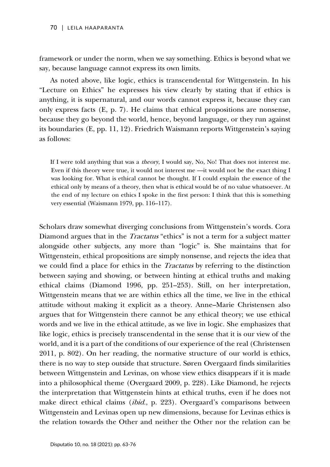framework or under the norm, when we say something. Ethics is beyond what we say, because language cannot express its own limits.

As noted above, like logic, ethics is transcendental for Wittgenstein. In his "Lecture on Ethics" he expresses his view clearly by stating that if ethics is anything, it is supernatural, and our words cannot express it, because they can only express facts (E, p. 7). He claims that ethical propositions are nonsense, because they go beyond the world, hence, beyond language, or they run against its boundaries (E, pp. 11, 12). Friedrich Waismann reports Wittgenstein's saying as follows:

If I were told anything that was a *theory*, I would say, No, No! That does not interest me. Even if this theory were true, it would not interest me —it would not be the exact thing I was looking for. What is ethical cannot be thought. If I could explain the essence of the ethical only by means of a theory, then what is ethical would be of no value whatsoever. At the end of my lecture on ethics I spoke in the first person: I think that this is something very essential (Waismann 1979, pp. 116–117).

Scholars draw somewhat diverging conclusions from Wittgenstein's words. Cora Diamond argues that in the *Tractatus* "ethics" is not a term for a subject matter alongside other subjects, any more than "logic" is. She maintains that for Wittgenstein, ethical propositions are simply nonsense, and rejects the idea that we could find a place for ethics in the Tractatus by referring to the distinction between saying and showing, or between hinting at ethical truths and making ethical claims (Diamond 1996, pp. 251–253). Still, on her interpretation, Wittgenstein means that we are within ethics all the time, we live in the ethical attitude without making it explicit as a theory. Anne–Marie Christensen also argues that for Wittgenstein there cannot be any ethical theory; we use ethical words and we live in the ethical attitude, as we live in logic. She emphasizes that like logic, ethics is precisely transcendental in the sense that it is our view of the world, and it is a part of the conditions of our experience of the real (Christensen 2011, p. 802). On her reading, the normative structure of our world is ethics, there is no way to step outside that structure. Søren Overgaard finds similarities between Wittgenstein and Levinas, on whose view ethics disappears if it is made into a philosophical theme (Overgaard 2009, p. 228). Like Diamond, he rejects the interpretation that Wittgenstein hints at ethical truths, even if he does not make direct ethical claims *(ibid., p. 223)*. Overgaard's comparisons between Wittgenstein and Levinas open up new dimensions, because for Levinas ethics is the relation towards the Other and neither the Other nor the relation can be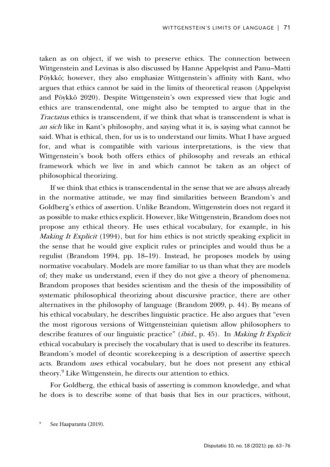taken as on object, if we wish to preserve ethics. The connection between Wittgenstein and Levinas is also discussed by Hanne Appelqvist and Panu–Matti Pöykkö; however, they also emphasize Wittgenstein's affinity with Kant, who argues that ethics cannot be said in the limits of theoretical reason (Appelqvist and Pöykkö 2020). Despite Wittgenstein's own expressed view that logic and ethics are transcendental, one might also be tempted to argue that in the Tractatus ethics is transcendent, if we think that what is transcendent is what is an sich like in Kant's philosophy, and saying what it is, is saying what cannot be said. What is ethical, then, for us is to understand our limits. What I have argued for, and what is compatible with various interpretations, is the view that Wittgenstein's book both offers ethics of philosophy and reveals an ethical framework which we live in and which cannot be taken as an object of philosophical theorizing.

If we think that ethics is transcendental in the sense that we are always already in the normative attitude, we may find similarities between Brandom's and Goldberg's ethics of assertion. Unlike Brandom, Wittgenstein does not regard it as possible to make ethics explicit. However, like Wittgenstein, Brandom does not propose any ethical theory. He uses ethical vocabulary, for example, in his Making It Explicit (1994), but for him ethics is not strictly speaking explicit in the sense that he would give explicit rules or principles and would thus be a regulist (Brandom 1994, pp. 18–19). Instead, he proposes models by using normative vocabulary. Models are more familiar to us than what they are models of; they make us understand, even if they do not give a theory of phenomena. Brandom proposes that besides scientism and the thesis of the impossibility of systematic philosophical theorizing about discursive practice, there are other alternatives in the philosophy of language (Brandom 2009, p. 44). By means of his ethical vocabulary, he describes linguistic practice. He also argues that "even the most rigorous versions of Wittgensteinian quietism allow philosophers to describe features of our linguistic practice" (*ibid.*, p. 45). In *Making It Explicit* ethical vocabulary is precisely the vocabulary that is used to describe its features. Brandom's model of deontic scorekeeping is a description of assertive speech acts. Brandom uses ethical vocabulary, but he does not present any ethical theory.[9](#page-8-0) Like Wittgenstein, he directs our attention to ethics.

For Goldberg, the ethical basis of asserting is common knowledge, and what he does is to describe some of that basis that lies in our practices, without,

<span id="page-8-0"></span>See Haaparanta (2019).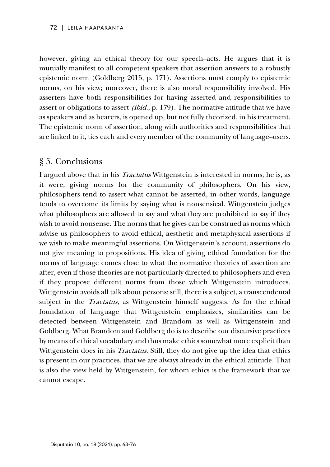however, giving an ethical theory for our speech–acts. He argues that it is mutually manifest to all competent speakers that assertion answers to a robustly epistemic norm (Goldberg 2015, p. 171). Assertions must comply to epistemic norms, on his view; moreover, there is also moral responsibility involved. His asserters have both responsibilities for having asserted and responsibilities to assert or obligations to assert (ibid., p. 179). The normative attitude that we have as speakers and as hearers, is opened up, but not fully theorized, in his treatment. The epistemic norm of assertion, along with authorities and responsibilities that are linked to it, ties each and every member of the community of language–users.

# § 5. Conclusions

I argued above that in his Tractatus Wittgenstein is interested in norms; he is, as it were, giving norms for the community of philosophers. On his view, philosophers tend to assert what cannot be asserted, in other words, language tends to overcome its limits by saying what is nonsensical. Wittgenstein judges what philosophers are allowed to say and what they are prohibited to say if they wish to avoid nonsense. The norms that he gives can be construed as norms which advise us philosophers to avoid ethical, aesthetic and metaphysical assertions if we wish to make meaningful assertions. On Wittgenstein's account, assertions do not give meaning to propositions. His idea of giving ethical foundation for the norms of language comes close to what the normative theories of assertion are after, even if those theories are not particularly directed to philosophers and even if they propose different norms from those which Wittgenstein introduces. Wittgenstein avoids all talk about persons; still, there is a subject, a transcendental subject in the *Tractatus*, as Wittgenstein himself suggests. As for the ethical foundation of language that Wittgenstein emphasizes, similarities can be detected between Wittgenstein and Brandom as well as Wittgenstein and Goldberg. What Brandom and Goldberg do is to describe our discursive practices by means of ethical vocabulary and thus make ethics somewhat more explicit than Wittgenstein does in his *Tractatus*. Still, they do not give up the idea that ethics is present in our practices, that we are always already in the ethical attitude. That is also the view held by Wittgenstein, for whom ethics is the framework that we cannot escape.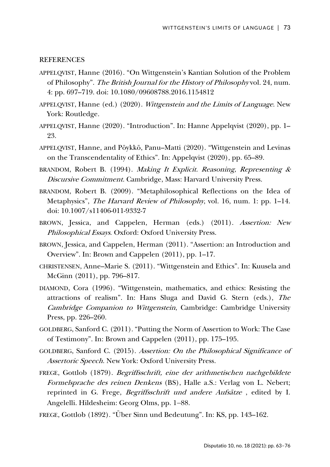#### REFERENCES

- APPELQVIST, Hanne (2016). "On Wittgenstein's Kantian Solution of the Problem of Philosophy". The British Journal for the History of Philosophy vol. 24, num. 4: pp. 697–719. doi: 10.1080/09608788.2016.1154812
- APPELQVIST, Hanne (ed.) (2020). Wittgenstein and the Limits of Language. New York: Routledge.
- APPELQVIST, Hanne (2020). "Introduction". In: Hanne Appelqvist (2020), pp. 1– 23.
- APPELQVIST, Hanne, and Pöykkö, Panu–Matti (2020). "Wittgenstein and Levinas on the Transcendentality of Ethics". In: Appelqvist (2020), pp. 65–89.
- BRANDOM, Robert B. (1994). Making It Explicit. Reasoning, Representing & Discursive Commitment. Cambridge, Mass: Harvard University Press.
- BRANDOM, Robert B. (2009). "Metaphilosophical Reflections on the Idea of Metaphysics", *The Harvard Review of Philosophy*, vol. 16, num. 1: pp. 1–14. doi: 10.1007/s11406-011-9332-7
- BROWN, Jessica, and Cappelen, Herman (eds.) (2011). Assertion: New Philosophical Essays. Oxford: Oxford University Press.
- BROWN, Jessica, and Cappelen, Herman (2011). "Assertion: an Introduction and Overview". In: Brown and Cappelen (2011), pp. 1–17.
- CHRISTENSEN, Anne–Marie S. (2011). "Wittgenstein and Ethics". In: Kuusela and McGinn (2011), pp. 796–817.
- DIAMOND, Cora (1996). "Wittgenstein, mathematics, and ethics: Resisting the attractions of realism". In: Hans Sluga and David G. Stern (eds.), The Cambridge Companion to Wittgenstein, Cambridge: Cambridge University Press, pp. 226–260.
- GOLDBERG, Sanford C. (2011). "Putting the Norm of Assertion to Work: The Case of Testimony". In: Brown and Cappelen (2011), pp. 175–195.
- GOLDBERG, Sanford C. (2015). Assertion: On the Philosophical Significance of Assertoric Speech. New York: Oxford University Press.
- FREGE, Gottlob (1879). Begriffsschrift, eine der arithmetischen nachgebildete Formelsprache des reinen Denkens (BS), Halle a.S.: Verlag von L. Nebert; reprinted in G. Frege, Begriffsschrift und andere Aufsätze, edited by I. Angelelli. Hildesheim: Georg Olms, pp. 1−88.
- FREGE, Gottlob (1892). "Über Sinn und Bedeutung". In: KS, pp. 143–162.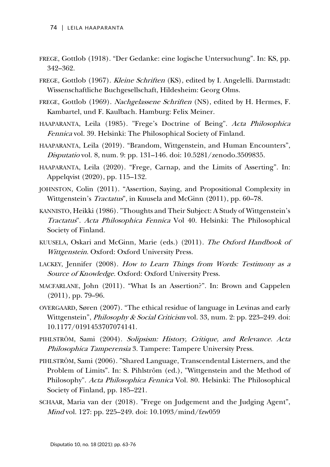- FREGE, Gottlob (1918). "Der Gedanke: eine logische Untersuchung". In: KS, pp. 342–362.
- FREGE, Gottlob (1967). Kleine Schriften (KS), edited by I. Angelelli. Darmstadt: Wissenschaftliche Buchgesellschaft, Hildesheim: Georg Olms.
- FREGE, Gottlob (1969). Nachgelassene Schriften (NS), edited by H. Hermes, F. Kambartel, und F. Kaulbach. Hamburg: Felix Meiner.
- HAAPARANTA, Leila (1985). "Frege's Doctrine of Being". Acta Philosophica Fennica vol. 39. Helsinki: The Philosophical Society of Finland.
- HAAPARANTA, Leila (2019). "Brandom, Wittgenstein, and Human Encounters", Disputatio vol. 8, num. 9: pp. 131–146. doi: 10.5281/zenodo.3509835.
- HAAPARANTA, Leila (2020). "Frege, Carnap, and the Limits of Asserting". In: Appelqvist (2020), pp. 115–132.
- JOHNSTON, Colin (2011). "Assertion, Saying, and Propositional Complexity in Wittgenstein's *Tractatus*", in Kuusela and McGinn (2011), pp. 60–78.
- KANNISTO, Heikki (1986). "Thoughts and Their Subject: A Study of Wittgenstein's Tractatus". Acta Philosophica Fennica Vol 40. Helsinki: The Philosophical Society of Finland.
- KUUSELA, Oskari and McGinn, Marie (eds.) (2011). The Oxford Handbook of Wittgenstein. Oxford: Oxford University Press.
- LACKEY, Jennifer (2008). How to Learn Things from Words: Testimony as a Source of Knowledge. Oxford: Oxford University Press.
- MACFARLANE, John (2011). "What Is an Assertion?". In: Brown and Cappelen (2011), pp. 79–96.
- OVERGAARD, Søren (2007). "The ethical residue of language in Levinas and early Wittgenstein", *Philosophy & Social Criticism* vol. 33, num. 2: pp. 223–249. doi: 10.1177/0191453707074141.
- PIHLSTRÖM, Sami (2004). Solipsism: History, Critique, and Relevance. Acta Philosophica Tamperensia 3. Tampere: Tampere University Press.
- PIHLSTRÖM, Sami (2006). "Shared Language, Transcendental Listerners, and the Problem of Limits". In: S. Pihlström (ed.), "Wittgenstein and the Method of Philosophy". Acta Philosophica Fennica Vol. 80. Helsinki: The Philosophical Society of Finland, pp. 185–221.
- SCHAAR, Maria van der (2018). "Frege on Judgement and the Judging Agent", Mind vol. 127: pp. 225–249. doi: 10.1093/mind/fzw059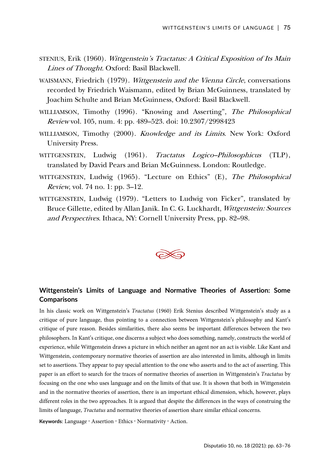- STENIUS, Erik (1960). Wittgenstein's Tractatus: A Critical Exposition of Its Main Lines of Thought. Oxford: Basil Blackwell.
- WAISMANN, Friedrich (1979). Wittgenstein and the Vienna Circle, conversations recorded by Friedrich Waismann, edited by Brian McGuinness, translated by Joachim Schulte and Brian McGuinness, Oxford: Basil Blackwell.
- WILLIAMSON, Timothy (1996). "Knowing and Asserting", The Philosophical Review vol. 105, num. 4: pp. 489–523. doi: 10.2307/2998423
- WILLIAMSON, Timothy (2000). Knowledge and its Limits. New York: Oxford University Press.
- WITTGENSTEIN, Ludwig (1961). Tractatus Logico–Philosophicus (TLP), translated by David Pears and Brian McGuinness. London: Routledge.
- WITTGENSTEIN, Ludwig (1965). "Lecture on Ethics" (E), The Philosophical Review, vol. 74 no. 1: pp. 3–12.
- WITTGENSTEIN, Ludwig (1979). "Letters to Ludwig von Ficker", translated by Bruce Gillette, edited by Allan Janik. In C. G. Luckhardt, Wittgenstein: Sources and Perspectives. Ithaca, NY: Cornell University Press, pp. 82–98.



### **Wittgenstein's Limits of Language and Normative Theories of Assertion: Some Comparisons**

In his classic work on Wittgenstein's *Tractatus* (1960) Erik Stenius described Wittgenstein's study as a critique of pure language, thus pointing to a connection between Wittgenstein's philosophy and Kant's critique of pure reason. Besides similarities, there also seems be important differences between the two philosophers. In Kant's critique, one discerns a subject who does something, namely, constructs the world of experience, while Wittgenstein draws a picture in which neither an agent nor an act is visible. Like Kant and Wittgenstein, contemporary normative theories of assertion are also interested in limits, although in limits set to assertions. They appear to pay special attention to the one who asserts and to the act of asserting. This paper is an effort to search for the traces of normative theories of assertion in Wittgenstein's *Tractatus* by focusing on the one who uses language and on the limits of that use. It is shown that both in Wittgenstein and in the normative theories of assertion, there is an important ethical dimension, which, however, plays different roles in the two approaches. It is argued that despite the differences in the ways of construing the limits of language, *Tractatus* and normative theories of assertion share similar ethical concerns.

Keywords: Language · Assertion · Ethics · Normativity · Action.